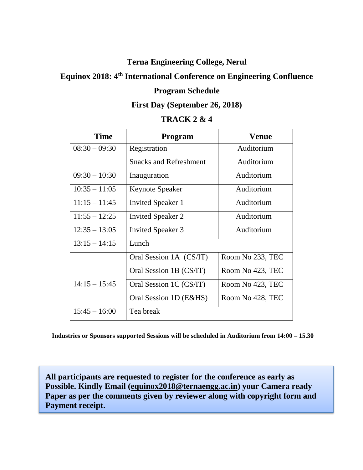## **Terna Engineering College, Nerul**

# **Equinox 2018: 4 th International Conference on Engineering Confluence**

# **Program Schedule**

#### **First Day (September 26, 2018)**

# **TRACK 2 & 4**

| <b>Time</b>     | Program                       | <b>Venue</b>     |
|-----------------|-------------------------------|------------------|
| $08:30 - 09:30$ | Registration                  | Auditorium       |
|                 | <b>Snacks and Refreshment</b> | Auditorium       |
| $09:30 - 10:30$ | Inauguration                  | Auditorium       |
| $10:35 - 11:05$ | <b>Keynote Speaker</b>        | Auditorium       |
| $11:15 - 11:45$ | <b>Invited Speaker 1</b>      | Auditorium       |
| $11:55 - 12:25$ | <b>Invited Speaker 2</b>      | Auditorium       |
| $12:35 - 13:05$ | <b>Invited Speaker 3</b>      | Auditorium       |
| $13:15 - 14:15$ | Lunch                         |                  |
|                 | Oral Session 1A (CS/IT)       | Room No 233, TEC |
|                 | Oral Session 1B (CS/IT)       | Room No 423, TEC |
| $14:15 - 15:45$ | Oral Session 1C (CS/IT)       | Room No 423, TEC |
|                 | Oral Session 1D (E&HS)        | Room No 428, TEC |
| $15:45 - 16:00$ | Tea break                     |                  |

**Industries or Sponsors supported Sessions will be scheduled in Auditorium from 14:00 – 15.30**

**All participants are requested to register for the conference as early as Possible. Kindly Email [\(equinox2018@ternaengg.ac.in\)](mailto:equinox2018@ternaengg.ac.in) your Camera ready Paper as per the comments given by reviewer along with copyright form and Payment receipt.**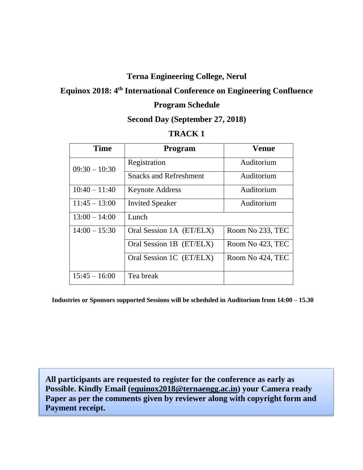# **Terna Engineering College, Nerul**

## **Equinox 2018: 4 th International Conference on Engineering Confluence**

#### **Program Schedule**

#### **Second Day (September 27, 2018)**

#### **TRACK 1**

| <b>Time</b>     | <b>Program</b>                | <b>Venue</b>     |
|-----------------|-------------------------------|------------------|
| $09:30 - 10:30$ | Registration                  | Auditorium       |
|                 | <b>Snacks and Refreshment</b> | Auditorium       |
| $10:40 - 11:40$ | <b>Keynote Address</b>        | Auditorium       |
| $11:45 - 13:00$ | <b>Invited Speaker</b>        | Auditorium       |
| $13:00 - 14:00$ | Lunch                         |                  |
| $14:00 - 15:30$ | Oral Session 1A (ET/ELX)      | Room No 233, TEC |
|                 | Oral Session 1B (ET/ELX)      | Room No 423, TEC |
|                 | Oral Session 1C (ET/ELX)      | Room No 424, TEC |
| $15:45 - 16:00$ | Tea break                     |                  |

**Industries or Sponsors supported Sessions will be scheduled in Auditorium from 14:00 – 15.30**

**All participants are requested to register for the conference as early as Possible. Kindly Email [\(equinox2018@ternaengg.ac.in\)](mailto:equinox2018@ternaengg.ac.in) your Camera ready Paper as per the comments given by reviewer along with copyright form and Payment receipt.**